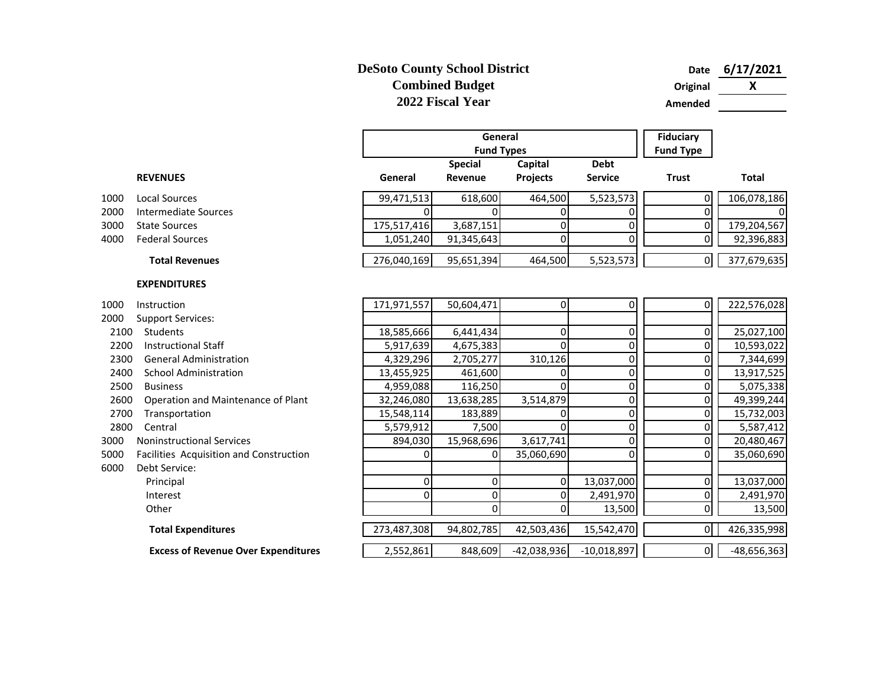## **DeSoto County School District Combined Budget 2022 Fiscal Year**

**Date 6/17/2021 Original X**

**Amended**

|      |                                            |             | General<br><b>Fund Types</b> |                     |                               |                |               |
|------|--------------------------------------------|-------------|------------------------------|---------------------|-------------------------------|----------------|---------------|
|      | <b>REVENUES</b>                            | General     | <b>Special</b><br>Revenue    | Capital<br>Projects | <b>Debt</b><br><b>Service</b> | <b>Trust</b>   | <b>Total</b>  |
| 1000 | <b>Local Sources</b>                       | 99,471,513  | 618,600                      | 464,500             | 5,523,573                     | 0              | 106,078,186   |
| 2000 | <b>Intermediate Sources</b>                | 0           |                              | 0                   | $\Omega$                      | 0              | 0             |
| 3000 | <b>State Sources</b>                       | 175,517,416 | 3,687,151                    | 0                   | 0                             | 0              | 179,204,567   |
| 4000 | <b>Federal Sources</b>                     | 1,051,240   | 91,345,643                   | 0                   | <sup>0</sup>                  | 0              | 92,396,883    |
|      | <b>Total Revenues</b>                      | 276,040,169 | 95,651,394                   | 464,500             | 5,523,573                     | $\overline{0}$ | 377,679,635   |
|      | <b>EXPENDITURES</b>                        |             |                              |                     |                               |                |               |
| 1000 | Instruction                                | 171,971,557 | 50,604,471                   | $\overline{0}$      | $\Omega$                      | 0              | 222,576,028   |
| 2000 | <b>Support Services:</b>                   |             |                              |                     |                               |                |               |
| 2100 | Students                                   | 18,585,666  | 6,441,434                    | 0                   | 0                             | 0              | 25,027,100    |
| 2200 | <b>Instructional Staff</b>                 | 5,917,639   | 4,675,383                    | $\Omega$            | $\Omega$                      | 0              | 10,593,022    |
| 2300 | <b>General Administration</b>              | 4,329,296   | 2,705,277                    | 310,126             | $\overline{0}$                | 0              | 7,344,699     |
| 2400 | <b>School Administration</b>               | 13,455,925  | 461,600                      | 0                   | $\overline{0}$                | 0              | 13,917,525    |
| 2500 | <b>Business</b>                            | 4,959,088   | 116,250                      | $\Omega$            | $\Omega$                      | $\Omega$       | 5,075,338     |
| 2600 | Operation and Maintenance of Plant         | 32,246,080  | 13,638,285                   | 3,514,879           | $\overline{0}$                | 0              | 49,399,244    |
| 2700 | Transportation                             | 15,548,114  | 183,889                      | 0                   | $\overline{0}$                | 0              | 15,732,003    |
| 2800 | Central                                    | 5,579,912   | 7,500                        | $\Omega$            | $\Omega$                      | 0              | 5,587,412     |
| 3000 | <b>Noninstructional Services</b>           | 894,030     | 15,968,696                   | 3,617,741           | $\Omega$                      | 0              | 20,480,467    |
| 5000 | Facilities Acquisition and Construction    | $\Omega$    | 0                            | 35,060,690          | $\Omega$                      | 0              | 35,060,690    |
| 6000 | Debt Service:                              |             |                              |                     |                               |                |               |
|      | Principal                                  | 0           | $\Omega$                     | 0                   | 13,037,000                    | 0              | 13,037,000    |
|      | Interest                                   | $\Omega$    | $\Omega$                     | $\overline{0}$      | 2,491,970                     | 0              | 2,491,970     |
|      | Other                                      |             | $\Omega$                     | 0                   | 13,500                        | 0              | 13,500        |
|      | <b>Total Expenditures</b>                  | 273,487,308 | 94,802,785                   | 42,503,436          | 15,542,470                    | $\mathsf{O}$   | 426,335,998   |
|      | <b>Excess of Revenue Over Expenditures</b> | 2,552,861   | 848,609                      | $-42,038,936$       | $-10,018,897$                 | $\overline{0}$ | $-48,656,363$ |

- 1000 Local Sources
- 2000 Intermediate Sources
- 3000 State Sources
- 4000 Federal Sources

## **EXPENDITURES**

- 
- 2000 Support Services:
- 
- 2200 Instructional Staff
- 2300 General Administratio
- 2400 School Administration
- 
- 2600 Operation and Mainte
- 2700 Transportation
- 
- 3000 Noninstructional Service
- 5000 Facilities Acquisition ar
- 6000 Debt Service:
	-
	-
	-
	- **Total Expenditures**